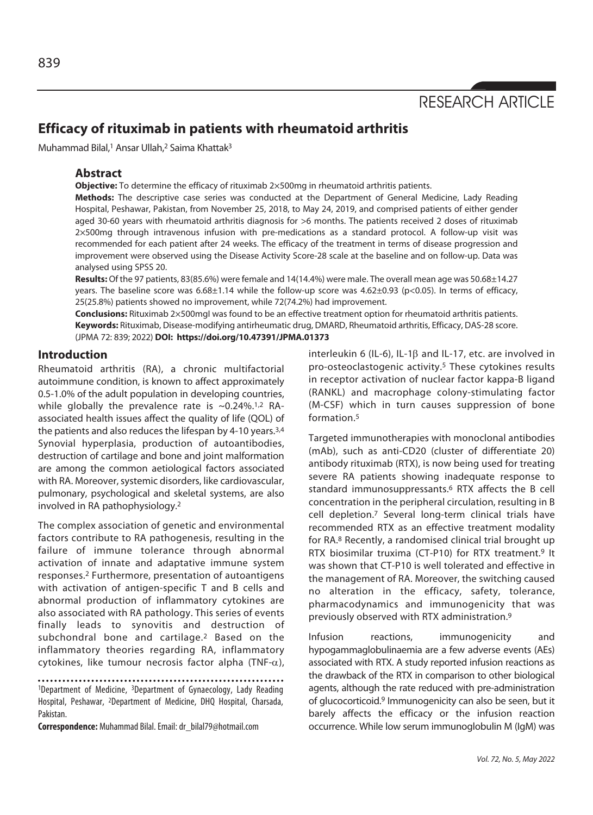

# **Efficacy of rituximab in patients with rheumatoid arthritis**

Muhammad Bilal,<sup>1</sup> Ansar Ullah,<sup>2</sup> Saima Khattak<sup>3</sup>

### **Abstract**

**Objective:** To determine the efficacy of rituximab 2×500mg in rheumatoid arthritis patients.

**Methods:** The descriptive case series was conducted at the Department of General Medicine, Lady Reading Hospital, Peshawar, Pakistan, from November 25, 2018, to May 24, 2019, and comprised patients of either gender aged 30-60 years with rheumatoid arthritis diagnosis for >6 months. The patients received 2 doses of rituximab 2×500mg through intravenous infusion with pre-medications as a standard protocol. A follow-up visit was recommended for each patient after 24 weeks. The efficacy of the treatment in terms of disease progression and improvement were observed using the Disease Activity Score-28 scale at the baseline and on follow-up. Data was analysed using SPSS 20.

**Results:** Of the 97 patients, 83(85.6%) were female and 14(14.4%) were male. The overall mean age was 50.68±14.27 years. The baseline score was 6.68±1.14 while the follow-up score was 4.62±0.93 (p<0.05). In terms of efficacy, 25(25.8%) patients showed no improvement, while 72(74.2%) had improvement.

**Conclusions:** Rituximab 2×500mgI was found to be an effective treatment option for rheumatoid arthritis patients. **Keywords:** Rituximab, Disease-modifying antirheumatic drug, DMARD, Rheumatoid arthritis, Efficacy, DAS-28 score. (JPMA 72: 839; 2022) **DOI: https://doi.org/10.47391/JPMA.01373** 

## **Introduction**

Rheumatoid arthritis (RA), a chronic multifactorial autoimmune condition, is known to affect approximately 0.5-1.0% of the adult population in developing countries, while globally the prevalence rate is  $\sim 0.24\%$ .<sup>1,2</sup> RAassociated health issues affect the quality of life (QOL) of the patients and also reduces the lifespan by 4-10 years.3,4 Synovial hyperplasia, production of autoantibodies, destruction of cartilage and bone and joint malformation are among the common aetiological factors associated with RA. Moreover, systemic disorders, like cardiovascular, pulmonary, psychological and skeletal systems, are also involved in RA pathophysiology.2

The complex association of genetic and environmental factors contribute to RA pathogenesis, resulting in the failure of immune tolerance through abnormal activation of innate and adaptative immune system responses.2 Furthermore, presentation of autoantigens with activation of antigen-specific T and B cells and abnormal production of inflammatory cytokines are also associated with RA pathology. This series of events finally leads to synovitis and destruction of subchondral bone and cartilage.2 Based on the inflammatory theories regarding RA, inflammatory cytokines, like tumour necrosis factor alpha (TNF- $\alpha$ ),

1Department of Medicine, 3Department of Gynaecology, Lady Reading Hospital, Peshawar, 2Department of Medicine, DHQ Hospital, Charsada, Pakistan.

**Correspondence:** Muhammad Bilal. Email: dr\_bilal79@hotmail.com

interleukin 6 (IL-6), IL-1 $\beta$  and IL-17, etc. are involved in pro-osteoclastogenic activity.5 These cytokines results in receptor activation of nuclear factor kappa-B ligand (RANKL) and macrophage colony-stimulating factor (M-CSF) which in turn causes suppression of bone formation.5

Targeted immunotherapies with monoclonal antibodies (mAb), such as anti-CD20 (cluster of differentiate 20) antibody rituximab (RTX), is now being used for treating severe RA patients showing inadequate response to standard immunosuppressants.6 RTX affects the B cell concentration in the peripheral circulation, resulting in B cell depletion.7 Several long-term clinical trials have recommended RTX as an effective treatment modality for RA.8 Recently, a randomised clinical trial brought up RTX biosimilar truxima (CT-P10) for RTX treatment.<sup>9</sup> It was shown that CT-P10 is well tolerated and effective in the management of RA. Moreover, the switching caused no alteration in the efficacy, safety, tolerance, pharmacodynamics and immunogenicity that was previously observed with RTX administration.9

Infusion reactions, immunogenicity and hypogammaglobulinaemia are a few adverse events (AEs) associated with RTX. A study reported infusion reactions as the drawback of the RTX in comparison to other biological agents, although the rate reduced with pre-administration of glucocorticoid.9 Immunogenicity can also be seen, but it barely affects the efficacy or the infusion reaction occurrence. While low serum immunoglobulin M (IgM) was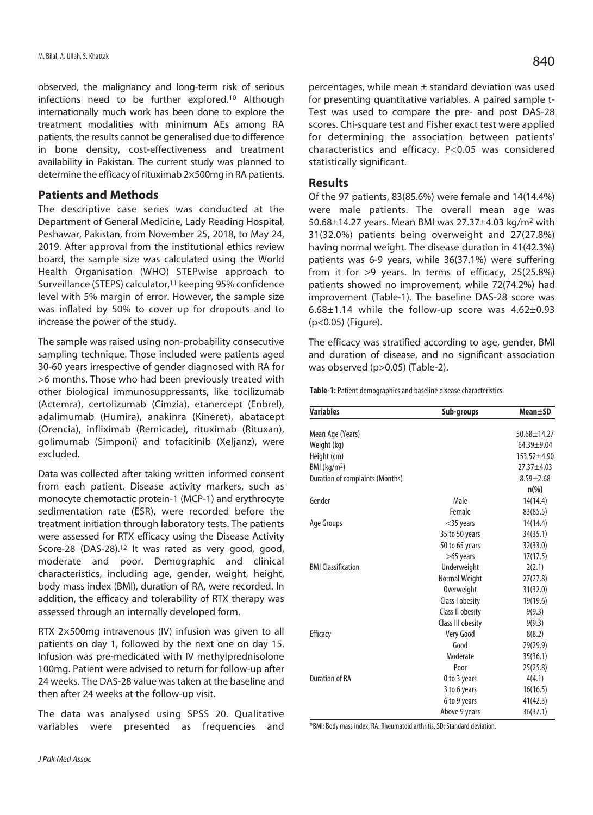observed, the malignancy and long-term risk of serious infections need to be further explored.10 Although internationally much work has been done to explore the treatment modalities with minimum AEs among RA patients, the results cannot be generalised due to difference in bone density, cost-effectiveness and treatment availability in Pakistan. The current study was planned to determine the efficacy of rituximab 2×500mg in RA patients.

## **Patients and Methods**

The descriptive case series was conducted at the Department of General Medicine, Lady Reading Hospital, Peshawar, Pakistan, from November 25, 2018, to May 24, 2019. After approval from the institutional ethics review board, the sample size was calculated using the World Health Organisation (WHO) STEPwise approach to Surveillance (STEPS) calculator,<sup>11</sup> keeping 95% confidence level with 5% margin of error. However, the sample size was inflated by 50% to cover up for dropouts and to increase the power of the study.

The sample was raised using non-probability consecutive sampling technique. Those included were patients aged 30-60 years irrespective of gender diagnosed with RA for >6 months. Those who had been previously treated with other biological immunosuppressants, like tocilizumab (Actemra), certolizumab (Cimzia), etanercept (Enbrel), adalimumab (Humira), anakinra (Kineret), abatacept (Orencia), infliximab (Remicade), rituximab (Rituxan), golimumab (Simponi) and tofacitinib (Xeljanz), were excluded.

Data was collected after taking written informed consent from each patient. Disease activity markers, such as monocyte chemotactic protein-1 (MCP-1) and erythrocyte sedimentation rate (ESR), were recorded before the treatment initiation through laboratory tests. The patients were assessed for RTX efficacy using the Disease Activity Score-28 (DAS-28).12 It was rated as very good, good, moderate and poor. Demographic and clinical characteristics, including age, gender, weight, height, body mass index (BMI), duration of RA, were recorded. In addition, the efficacy and tolerability of RTX therapy was assessed through an internally developed form.

RTX 2×500mg intravenous (IV) infusion was given to all patients on day 1, followed by the next one on day 15. Infusion was pre-medicated with IV methylprednisolone 100mg. Patient were advised to return for follow-up after 24 weeks. The DAS-28 value was taken at the baseline and then after 24 weeks at the follow-up visit.

The data was analysed using SPSS 20. Qualitative variables were presented as frequencies and percentages, while mean ± standard deviation was used for presenting quantitative variables. A paired sample t-Test was used to compare the pre- and post DAS-28 scores. Chi-square test and Fisher exact test were applied for determining the association between patients' characteristics and efficacy. P<0.05 was considered statistically significant.

## **Results**

Of the 97 patients, 83(85.6%) were female and 14(14.4%) were male patients. The overall mean age was 50.68±14.27 years. Mean BMI was 27.37±4.03 kg/m2 with 31(32.0%) patients being overweight and 27(27.8%) having normal weight. The disease duration in 41(42.3%) patients was 6-9 years, while 36(37.1%) were suffering from it for >9 years. In terms of efficacy, 25(25.8%) patients showed no improvement, while 72(74.2%) had improvement (Table-1). The baseline DAS-28 score was  $6.68\pm1.14$  while the follow-up score was  $4.62\pm0.93$ (p<0.05) (Figure).

The efficacy was stratified according to age, gender, BMI and duration of disease, and no significant association was observed (p>0.05) (Table-2).

**Table-1:** Patient demographics and baseline disease characteristics.

| <b>Variables</b><br>Sub-groups         |                   | <b>Mean</b> ±SD   |
|----------------------------------------|-------------------|-------------------|
| Mean Age (Years)                       |                   | $50.68 \pm 14.27$ |
| Weight (kg)                            |                   | $64.39 + 9.04$    |
| Height (cm)                            |                   | $153.52 + 4.90$   |
| BMI (kg/m <sup>2</sup> )               |                   | $27.37 + 4.03$    |
| <b>Duration of complaints (Months)</b> |                   | $8.59 \pm 2.68$   |
|                                        |                   | $n(\%)$           |
| Gender                                 | Male              | 14(14.4)          |
|                                        | Female            | 83(85.5)          |
| Age Groups                             | $<$ 35 years      | 14(14.4)          |
|                                        | 35 to 50 years    | 34(35.1)          |
|                                        | 50 to 65 years    | 32(33.0)          |
|                                        | $>65$ years       | 17(17.5)          |
| <b>BMI Classification</b>              | Underweight       | 2(2.1)            |
|                                        | Normal Weight     | 27(27.8)          |
|                                        | <b>Overweight</b> | 31(32.0)          |
|                                        | Class I obesity   | 19(19.6)          |
|                                        | Class II obesity  | 9(9.3)            |
|                                        | Class III obesity | 9(9.3)            |
| Efficacy                               | Very Good         | 8(8.2)            |
|                                        | Good              | 29(29.9)          |
|                                        | Moderate          | 35(36.1)          |
|                                        | Poor              | 25(25.8)          |
| <b>Duration of RA</b>                  | 0 to 3 years      | 4(4.1)            |
|                                        | 3 to 6 years      | 16(16.5)          |
|                                        | 6 to 9 years      | 41(42.3)          |
|                                        | Above 9 years     | 36(37.1)          |

\*BMI: Body mass index, RA: Rheumatoid arthritis, SD: Standard deviation.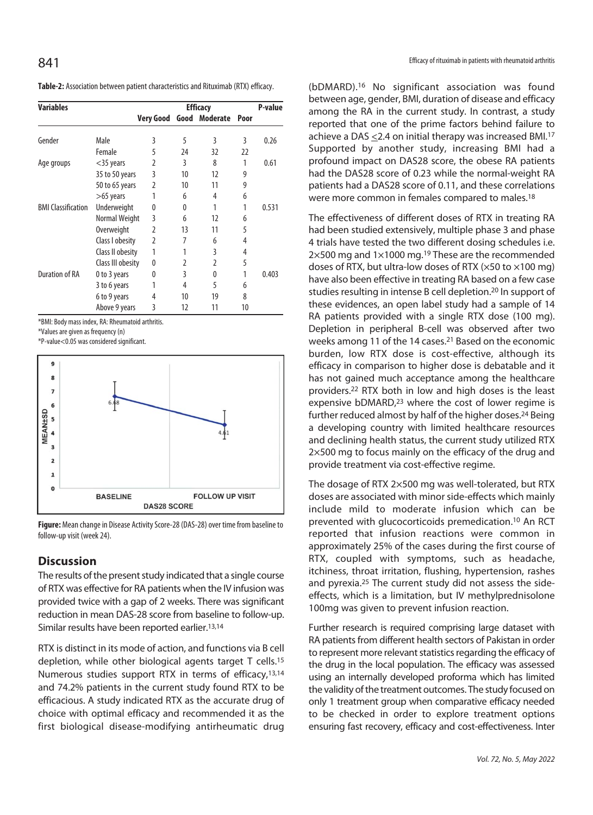| Table-2: Association between patient characteristics and Rituximab (RTX) efficacy. |
|------------------------------------------------------------------------------------|
|------------------------------------------------------------------------------------|

| <b>Variables</b>          |                   | <b>Efficacy</b> |    |               |      | P-value |
|---------------------------|-------------------|-----------------|----|---------------|------|---------|
|                           |                   | Very Good       |    | Good Moderate | Poor |         |
| Gender                    | Male              | 3               | 5  | 3             | 3    | 0.26    |
|                           | Female            | 5               | 24 | 32            | 22   |         |
| Age groups                | $<$ 35 years      | 2               | 3  | 8             | 1    | 0.61    |
|                           | 35 to 50 years    | 3               | 10 | 12            | 9    |         |
|                           | 50 to 65 years    | $\mathfrak z$   | 10 | 11            | 9    |         |
|                           | $>65$ years       | 1               | 6  | 4             | 6    |         |
| <b>BMI Classification</b> | Underweight       | 0               | 0  | 1             |      | 0.531   |
|                           | Normal Weight     | 3               | 6  | 12            | 6    |         |
|                           | Overweight        | $\overline{2}$  | 13 | 11            | 5    |         |
|                           | Class I obesity   | 2               | 7  | 6             | 4    |         |
|                           | Class II obesity  | 1               |    | 3             | 4    |         |
|                           | Class III obesity | 0               | 2  | 2             | 5    |         |
| <b>Duration of RA</b>     | 0 to 3 years      | 0               | 3  | 0             | 1    | 0.403   |
|                           | 3 to 6 years      |                 | 4  | 5             | 6    |         |
|                           | 6 to 9 years      | 4               | 10 | 19            | 8    |         |
|                           | Above 9 years     | 3               | 12 | 11            | 10   |         |

\*BMI: Body mass index, RA: Rheumatoid arthritis.

\*Values are given as frequency (n)

\*P-value<0.05 was considered significant.



**Figure:** Mean change in Disease Activity Score-28 (DAS-28) over time from baseline to follow-up visit (week 24).

## **Discussion**

The results of the present study indicated that a single course of RTX was effective for RA patients when the IV infusion was provided twice with a gap of 2 weeks. There was significant reduction in mean DAS-28 score from baseline to follow-up. Similar results have been reported earlier.<sup>13,14</sup>

RTX is distinct in its mode of action, and functions via B cell depletion, while other biological agents target T cells.15 Numerous studies support RTX in terms of efficacy,13,14 and 74.2% patients in the current study found RTX to be efficacious. A study indicated RTX as the accurate drug of choice with optimal efficacy and recommended it as the first biological disease-modifying antirheumatic drug

(bDMARD).16 No significant association was found between age, gender, BMI, duration of disease and efficacy among the RA in the current study. In contrast, a study reported that one of the prime factors behind failure to achieve a DAS <2.4 on initial therapy was increased BMI.17 Supported by another study, increasing BMI had a profound impact on DAS28 score, the obese RA patients had the DAS28 score of 0.23 while the normal-weight RA patients had a DAS28 score of 0.11, and these correlations were more common in females compared to males.18

The effectiveness of different doses of RTX in treating RA had been studied extensively, multiple phase 3 and phase 4 trials have tested the two different dosing schedules i.e. 2×500 mg and 1×1000 mg.19 These are the recommended doses of RTX, but ultra-low doses of RTX ( $\times$ 50 to  $\times$ 100 mg) have also been effective in treating RA based on a few case studies resulting in intense B cell depletion.20 In support of these evidences, an open label study had a sample of 14 RA patients provided with a single RTX dose (100 mg). Depletion in peripheral B-cell was observed after two weeks among 11 of the 14 cases.21 Based on the economic burden, low RTX dose is cost-effective, although its efficacy in comparison to higher dose is debatable and it has not gained much acceptance among the healthcare providers.22 RTX both in low and high doses is the least expensive bDMARD,23 where the cost of lower regime is further reduced almost by half of the higher doses.24 Being a developing country with limited healthcare resources and declining health status, the current study utilized RTX 2×500 mg to focus mainly on the efficacy of the drug and provide treatment via cost-effective regime.

The dosage of RTX 2×500 mg was well-tolerated, but RTX doses are associated with minor side-effects which mainly include mild to moderate infusion which can be prevented with glucocorticoids premedication.10 An RCT reported that infusion reactions were common in approximately 25% of the cases during the first course of RTX, coupled with symptoms, such as headache, itchiness, throat irritation, flushing, hypertension, rashes and pyrexia.25 The current study did not assess the sideeffects, which is a limitation, but IV methylprednisolone 100mg was given to prevent infusion reaction.

Further research is required comprising large dataset with RA patients from different health sectors of Pakistan in order to represent more relevant statistics regarding the efficacy of the drug in the local population. The efficacy was assessed using an internally developed proforma which has limited the validity of the treatment outcomes. The study focused on only 1 treatment group when comparative efficacy needed to be checked in order to explore treatment options ensuring fast recovery, efficacy and cost-effectiveness. Inter